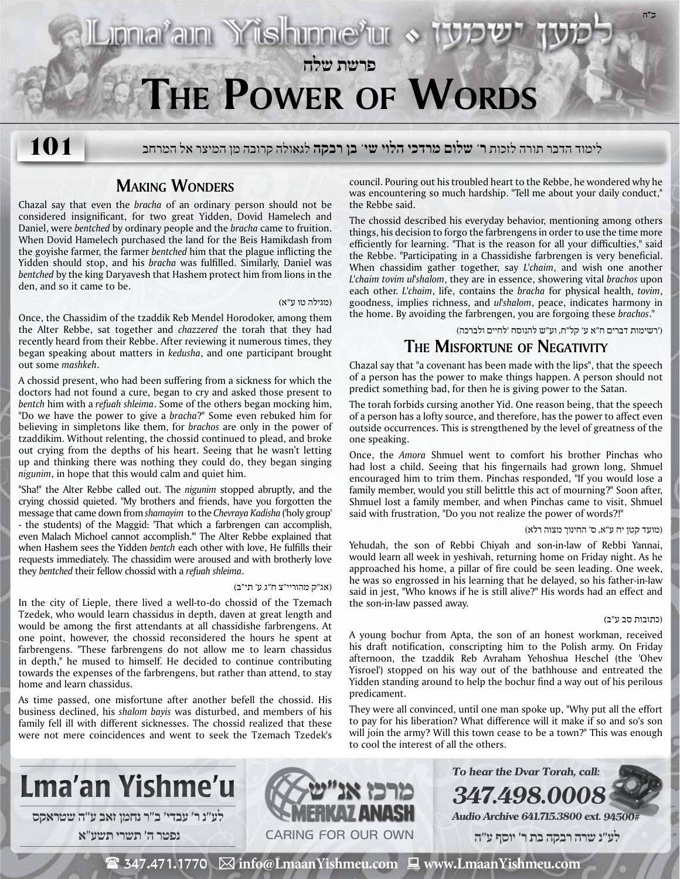

לימוד הדבר תורה לזכות **ר' שלום מרדכי הלוי שי' בן רבקה** לגאולה קרובה מן המיצר אל המרחב **101**

# **Making Wonders**

Chazal say that even the *bracha* of an ordinary person should not be considered insignificant, for two great Yidden, Dovid Hamelech and Daniel, were *bentched* by ordinary people and the *bracha* came to fruition. When Dovid Hamelech purchased the land for the Beis Hamikdash from the goyishe farmer, the farmer *bentched* him that the plague inflicting the Yidden should stop, and his *bracha* was fulfilled. Similarly, Daniel was *bentched* by the king Daryavesh that Hashem protect him from lions in the den, and so it came to be.

(מגילה טו ע"א)

Once, the Chassidim of the tzaddik Reb Mendel Horodoker, among them the Alter Rebbe, sat together and *chazzered* the torah that they had recently heard from their Rebbe. After reviewing it numerous times, they began speaking about matters in *kedusha*, and one participant brought out some *mashkeh*.

A chossid present, who had been suffering from a sickness for which the doctors had not found a cure, began to cry and asked those present to *bentch* him with a *refuah shleima*. Some of the others began mocking him, "Do we have the power to give a *bracha*?" Some even rebuked him for believing in simpletons like them, for *brachos* are only in the power of tzaddikim. Without relenting, the chossid continued to plead, and broke out crying from the depths of his heart. Seeing that he wasn't letting up and thinking there was nothing they could do, they began singing *nigunim*, in hope that this would calm and quiet him.

"Sha!" the Alter Rebbe called out. The *nigunim* stopped abruptly**,** and the crying chossid quieted. "My brothers and friends, have you forgotten the message that came down from *shamayim* to the *Chevraya Kadisha* ('holy group' - the students) of the Maggid: 'That which a farbrengen can accomplish, even Malach Michoel cannot accomplish.'" The Alter Rebbe explained that when Hashem sees the Yidden *bentch* each other with love, He fulfills their requests immediately. The chassidim were aroused and with brotherly love they *bentched* their fellow chossid with a *refuah shleima*.

#### (אג"ק מהוריי"צ ח"ג ע' תי"ב)

In the city of Lieple, there lived a well-to-do chossid of the Tzemach Tzedek, who would learn chassidus in depth, daven at great length and would be among the first attendants at all chassidishe farbrengens. At one point, however, the chossid reconsidered the hours he spent at farbrengens. "These farbrengens do not allow me to learn chassidus in depth," he mused to himself. He decided to continue contributing towards the expenses of the farbrengens, but rather than attend, to stay home and learn chassidus.

As time passed, one misfortune after another befell the chossid. His business declined, his *shalom bayis* was disturbed, and members of his family fell ill with different sicknesses. The chossid realized that these were not mere coincidences and went to seek the Tzemach Tzedek's council. Pouring out his troubled heart to the Rebbe, he wondered why he was encountering so much hardship. "Tell me about your daily conduct," the Rebbe said.

The chossid described his everyday behavior, mentioning among others things, his decision to forgo the farbrengens in order to use the time more efficiently for learning. "That is the reason for all your difficulties," said the Rebbe. "Participating in a Chassidishe farbrengen is very beneficial. When chassidim gather together, say *L'chaim*, and wish one another *L'chaim tovim ul'shalom*, they are in essence, showering vital *brachos* upon each other. *L'chaim*, life, contains the *bracha* for physical health, *tovim*, goodness, implies richness, and *ul'shalom*, peace, indicates harmony in the home. By avoiding the farbrengen, you are forgoing these *brachos*."

('רשימות דברים ח"א ע' קל"ח, וע"ש להנוסח 'לחיים ולברכה)

## **The Misfortune of Negativity**

Chazal say that "a covenant has been made with the lips", that the speech of a person has the power to make things happen. A person should not predict something bad, for then he is giving power to the Satan.

The torah forbids cursing another Yid. One reason being, that the speech of a person has a lofty source, and therefore, has the power to affect even outside occurrences. This is strengthened by the level of greatness of the one speaking.

Once, the *Amora* Shmuel went to comfort his brother Pinchas who had lost a child. Seeing that his fingernails had grown long, Shmuel encouraged him to trim them. Pinchas responded, "If you would lose a family member, would you still belittle this act of mourning?" Soon after, Shmuel lost a family member, and when Pinchas came to visit, Shmuel said with frustration, "Do you not realize the power of words?!"

(מועד קטן יח ע"א, ס' החינוך מצוה רלא)

Yehudah, the son of Rebbi Chiyah and son-in-law of Rebbi Yannai, would learn all week in yeshivah, returning home on Friday night. As he approached his home, a pillar of fire could be seen leading. One week, he was so engrossed in his learning that he delayed, so his father-in-law said in jest, "Who knows if he is still alive?" His words had an effect and the son-in-law passed away.

#### (כתובות סב ע"ב)

A young bochur from Apta, the son of an honest workman, received his draft notification, conscripting him to the Polish army. On Friday afternoon, the tzaddik Reb Avraham Yehoshua Heschel (the 'Ohev Yisroel') stopped on his way out of the bathhouse and entreated the Yidden standing around to help the bochur find a way out of his perilous predicament.

They were all convinced, until one man spoke up, "Why put all the effort to pay for his liberation? What difference will it make if so and so's son will join the army? Will this town cease to be a town?" This was enough to cool the interest of all the others.

**347.498.0008**

**To hear the Dvar Torah, call:**

 **לע"נ שרה רבקה בת ר׳ יוסף ע"ה**



**Audio Archive 641.715.3800 ext. 94500# MERKAZ ANASH** Caring for our own

 $\mathbf{\mathcal{F}}$  347.471.1770  $\boxtimes$  info@LmaanYishmeu.com  $\mathbf{\mathcal{F}}$  www.LmaanYishmeu.com